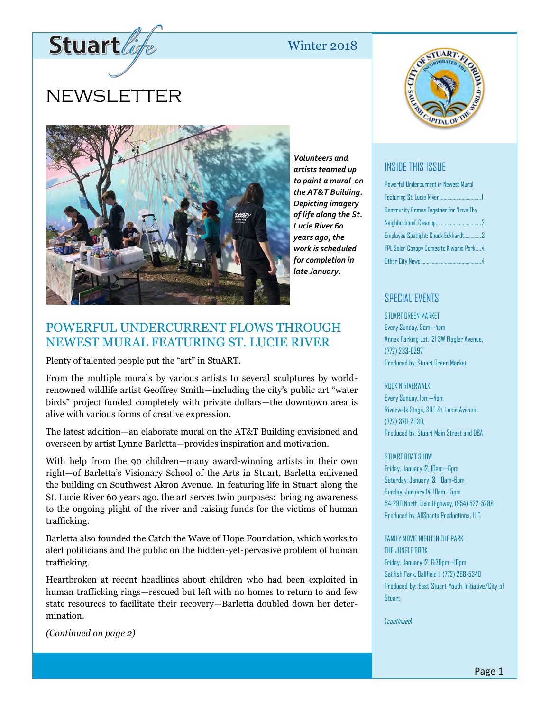

# Winter 2018

# **NEWSLETTER**



*Volunteers and artists teamed up to paint a mural on the AT&T Building. Depicting imagery of life along the St. Lucie River 60 years ago, the work is scheduled for completion in late January.*

# POWERFUL UNDERCURRENT FLOWS THROUGH NEWEST MURAL FEATURING ST. LUCIE RIVER

Plenty of talented people put the "art" in StuART.

From the multiple murals by various artists to several sculptures by worldrenowned wildlife artist Geoffrey Smith—including the city's public art "water birds" project funded completely with private dollars—the downtown area is alive with various forms of creative expression.

The latest addition—an elaborate mural on the AT&T Building envisioned and overseen by artist Lynne Barletta—provides inspiration and motivation.

With help from the 90 children—many award-winning artists in their own right—of Barletta's Visionary School of the Arts in Stuart, Barletta enlivened the building on Southwest Akron Avenue. In featuring life in Stuart along the St. Lucie River 60 years ago, the art serves twin purposes; bringing awareness to the ongoing plight of the river and raising funds for the victims of human trafficking.

Barletta also founded the Catch the Wave of Hope Foundation, which works to alert politicians and the public on the hidden-yet-pervasive problem of human trafficking.

Heartbroken at recent headlines about children who had been exploited in human trafficking rings—rescued but left with no homes to return to and few state resources to facilitate their recovery—Barletta doubled down her determination.

*(Continued on page 2)*



# INSIDE THIS ISSUE

| Powerful Undercurrent in Newest Mural    |  |
|------------------------------------------|--|
|                                          |  |
| Community Comes Together for 'Love Thy   |  |
|                                          |  |
| Employee Spotlight: Chuck Eckhardt3      |  |
| FPL Solar Canopy Comes to Kiwanis Park 4 |  |
|                                          |  |

### SPECIAL EVENTS

STUART GREEN MARKET Every Sunday, 9am—4pm Annex Parking Lot, 121 SW Flagler Avenue, (772) 233-0297 Produced by: Stuart Green Market

ROCK'N RIVERWALK Every Sunday, 1pm—4pm Riverwalk Stage, 300 St. Lucie Avenue, (772) 370-2030. Produced by: Stuart Main Street and DBA

#### STUART BOAT SHOW

Friday, January 12, 10am—6pm Saturday, January 13, 10am-6pm Sunday, January 14, 10am—5pm 54-290 North Dixie Highway, (954) 522-5288 Produced by: AllSports Productions, LLC

FAMILY MOVIE NIGHT IN THE PARK: THE JUNGLE BOOK Friday, January 12, 6:30pm—10pm Sailfish Park, Ballfield 1, (772) 288-5340 Produced by: East Stuart Youth Initiative/City of Stuart

(continued)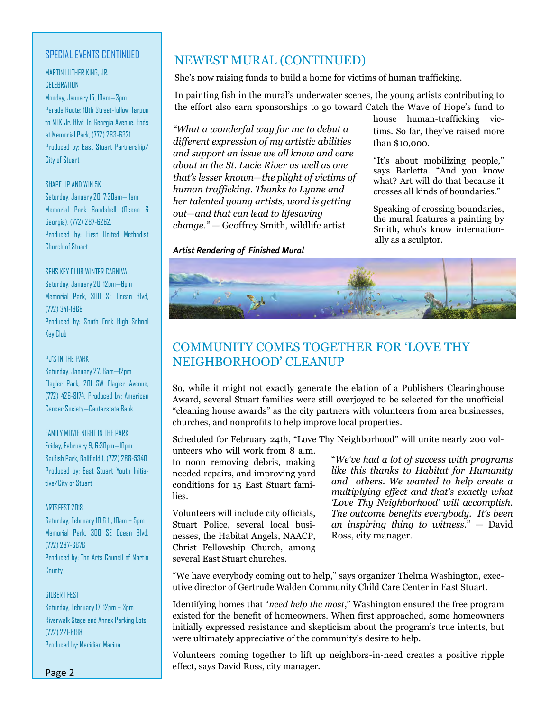### SPECIAL EVENTS CONTINUED

### MARTIN LUTHER KING, JR. CELEBRATION

Monday, January 15, 10am—3pm Parade Route: 10th Street-follow Tarpon to MLK Jr. Blvd To Georgia Avenue. Ends at Memorial Park, (772) 283-6321. Produced by: East Stuart Partnership/ City of Stuart

### SHAPE UP AND WIN 5K

Saturday, January 20, 7:30am—11am Memorial Park Bandshell (Ocean & Georgia), (772) 287-6262. Produced by: First United Methodist Church of Stuart

### SEHS KEY CLUB WINTER CARNIVAL

Saturday, January 20, 12pm—6pm Memorial Park, 300 SE Ocean Blvd, (772) 341-1868 Produced by: South Fork High School Key Club

### PJ'S IN THE PARK

Saturday, January 27, 6am—12pm Flagler Park, 201 SW Flagler Avenue, (772) 426-8174. Produced by: American Cancer Society—Centerstate Bank

### FAMILY MOVIE NIGHT IN THE PARK

Friday, February 9, 6:30pm—10pm Sailfish Park, Ballfield 1, (772) 288-5340 Produced by: East Stuart Youth Initiative/City of Stuart

### ARTSFEST 2018

Saturday, February 10 & 11, 10am – 5pm Memorial Park, 300 SE Ocean Blvd, (772) 287-6676 Produced by: The Arts Council of Martin **County** 

### GILBERT FEST

Saturday, February 17, 12pm – 3pm Riverwalk Stage and Annex Parking Lots, (772) 221-8198 Produced by: Meridian Marina

# NEWEST MURAL (CONTINUED)

She's now raising funds to build a home for victims of human trafficking.

In painting fish in the mural's underwater scenes, the young artists contributing to the effort also earn sponsorships to go toward Catch the Wave of Hope's fund to

*"What a wonderful way for me to debut a different expression of my artistic abilities and support an issue we all know and care about in the St. Lucie River as well as one that's lesser known—the plight of victims of human trafficking. Thanks to Lynne and her talented young artists, word is getting out—and that can lead to lifesaving change." —* Geoffrey Smith, wildlife artist

### *Artist Rendering of Finished Mural*

house human-trafficking victims. So far, they've raised more than \$10,000.

"It's about mobilizing people," says Barletta. "And you know what? Art will do that because it crosses all kinds of boundaries."

Speaking of crossing boundaries, the mural features a painting by Smith, who's know internationally as a sculptor.



# COMMUNITY COMES TOGETHER FOR 'LOVE THY NEIGHBORHOOD' CLEANUP

So, while it might not exactly generate the elation of a Publishers Clearinghouse Award, several Stuart families were still overjoyed to be selected for the unofficial "cleaning house awards" as the city partners with volunteers from area businesses, churches, and nonprofits to help improve local properties.

Scheduled for February 24th, "Love Thy Neighborhood" will unite nearly 200 vol-

unteers who will work from 8 a.m. to noon removing debris, making needed repairs, and improving yard conditions for 15 East Stuart families.

Volunteers will include city officials, Stuart Police, several local businesses, the Habitat Angels, NAACP, Christ Fellowship Church, among several East Stuart churches.

"*We've had a lot of success with programs like this thanks to Habitat for Humanity and others*. *We wanted to help create a multiplying effect and that's exactly what 'Love Thy Neighborhood' will accomplish. The outcome benefits everybody. It's been an inspiring thing to witness*." — David Ross, city manager.

"We have everybody coming out to help," says organizer Thelma Washington, executive director of Gertrude Walden Community Child Care Center in East Stuart.

Identifying homes that "*need help the most*," Washington ensured the free program existed for the benefit of homeowners. When first approached, some homeowners initially expressed resistance and skepticism about the program's true intents, but were ultimately appreciative of the community's desire to help.

Volunteers coming together to lift up neighbors-in-need creates a positive ripple effect, says David Ross, city manager.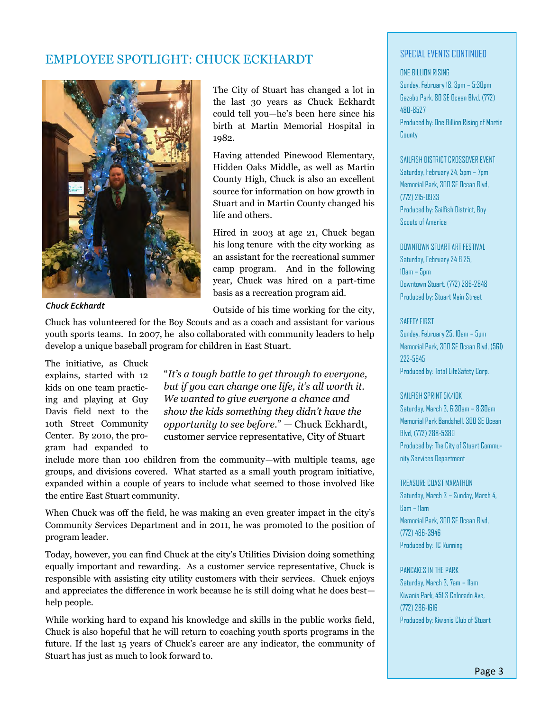# EMPLOYEE SPOTLIGHT: CHUCK ECKHARDT



*Chuck Eckhardt*

The City of Stuart has changed a lot in the last 30 years as Chuck Eckhardt could tell you—he's been here since his birth at Martin Memorial Hospital in 1982.

Having attended Pinewood Elementary, Hidden Oaks Middle, as well as Martin County High, Chuck is also an excellent source for information on how growth in Stuart and in Martin County changed his life and others.

Hired in 2003 at age 21, Chuck began his long tenure with the city working as an assistant for the recreational summer camp program. And in the following year, Chuck was hired on a part-time basis as a recreation program aid.

Outside of his time working for the city,

Chuck has volunteered for the Boy Scouts and as a coach and assistant for various youth sports teams. In 2007, he also collaborated with community leaders to help develop a unique baseball program for children in East Stuart.

The initiative, as Chuck explains, started with 12 kids on one team practicing and playing at Guy Davis field next to the 10th Street Community Center. By 2010, the program had expanded to

"*It's a tough battle to get through to everyone, but if you can change one life, it's all worth it. We wanted to give everyone a chance and show the kids something they didn't have the opportunity to see before*." — Chuck Eckhardt, customer service representative, City of Stuart

include more than 100 children from the community—with multiple teams, age groups, and divisions covered. What started as a small youth program initiative, expanded within a couple of years to include what seemed to those involved like the entire East Stuart community.

When Chuck was off the field, he was making an even greater impact in the city's Community Services Department and in 2011, he was promoted to the position of program leader.

Today, however, you can find Chuck at the city's Utilities Division doing something equally important and rewarding. As a customer service representative, Chuck is responsible with assisting city utility customers with their services. Chuck enjoys and appreciates the difference in work because he is still doing what he does best help people.

While working hard to expand his knowledge and skills in the public works field, Chuck is also hopeful that he will return to coaching youth sports programs in the future. If the last 15 years of Chuck's career are any indicator, the community of Stuart has just as much to look forward to.

### SPECIAL EVENTS CONTINUED

ONE BILLION RISING

Sunday, February 18, 3pm – 5:30pm Gazebo Park, 80 SE Ocean Blvd, (772) 480-8527 Produced by: One Billion Rising of Martin **County** 

### SAILFISH DISTRICT CROSSOVER EVENT Saturday, February 24, 5pm – 7pm Memorial Park, 300 SE Ocean Blvd, (772) 215-0933 Produced by: Sailfish District, Boy Scouts of America

### DOWNTOWN STUART ART FESTIVAL Saturday, February 24 & 25, 10am – 5pm Downtown Stuart, (772) 286-2848 Produced by: Stuart Main Street

#### SAFETY FIRST

Sunday, February 25, 10am – 5pm Memorial Park, 300 SE Ocean Blvd, (561) 222-5645 Produced by: Total LifeSafety Corp.

#### SAILFISH SPRINT 5K/10K

Saturday, March 3, 6:30am – 8:30am Memorial Park Bandshell, 300 SE Ocean Blvd, (772) 288-5389 Produced by: The City of Stuart Community Services Department

#### TREASURE COAST MARATHON

Saturday, March 3 – Sunday, March 4, 6am – 11am Memorial Park, 300 SE Ocean Blvd, (772) 486-3946 Produced by: TC Running

# PANCAKES IN THE PARK

Saturday, March 3, 7am – 11am Kiwanis Park, 451 S Colorado Ave, (772) 286-1616 Produced by: Kiwanis Club of Stuart